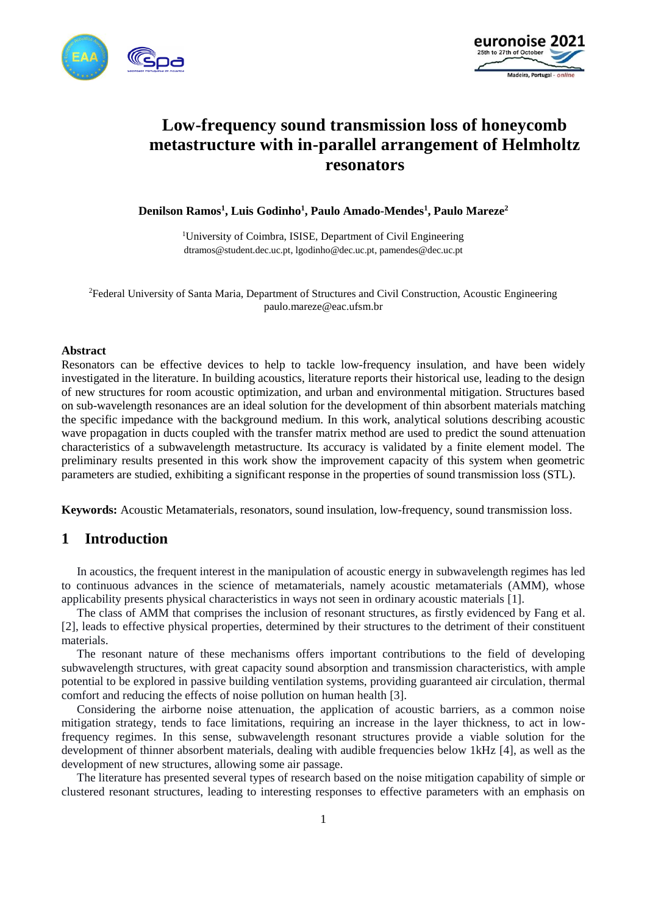



# **Low-frequency sound transmission loss of honeycomb metastructure with in-parallel arrangement of Helmholtz resonators**

**Denilson Ramos<sup>1</sup> , Luis Godinho<sup>1</sup> , Paulo Amado-Mendes<sup>1</sup> , Paulo Mareze<sup>2</sup>**

<sup>1</sup>University of Coimbra, ISISE, Department of Civil Engineering dtramos@student.dec.uc.pt, lgodinho@dec.uc.pt, pamendes@dec.uc.pt

<sup>2</sup>Federal University of Santa Maria, Department of Structures and Civil Construction, Acoustic Engineering paulo.mareze@eac.ufsm.br

### **Abstract**

Resonators can be effective devices to help to tackle low-frequency insulation, and have been widely investigated in the literature. In building acoustics, literature reports their historical use, leading to the design of new structures for room acoustic optimization, and urban and environmental mitigation. Structures based on sub-wavelength resonances are an ideal solution for the development of thin absorbent materials matching the specific impedance with the background medium. In this work, analytical solutions describing acoustic wave propagation in ducts coupled with the transfer matrix method are used to predict the sound attenuation characteristics of a subwavelength metastructure. Its accuracy is validated by a finite element model. The preliminary results presented in this work show the improvement capacity of this system when geometric parameters are studied, exhibiting a significant response in the properties of sound transmission loss (STL).

**Keywords:** Acoustic Metamaterials, resonators, sound insulation, low-frequency, sound transmission loss.

# **1 Introduction**

In acoustics, the frequent interest in the manipulation of acoustic energy in subwavelength regimes has led to continuous advances in the science of metamaterials, namely acoustic metamaterials (AMM), whose applicability presents physical characteristics in ways not seen in ordinary acoustic materials [1].

The class of AMM that comprises the inclusion of resonant structures, as firstly evidenced by Fang et al. [2], leads to effective physical properties, determined by their structures to the detriment of their constituent materials.

The resonant nature of these mechanisms offers important contributions to the field of developing subwavelength structures, with great capacity sound absorption and transmission characteristics, with ample potential to be explored in passive building ventilation systems, providing guaranteed air circulation, thermal comfort and reducing the effects of noise pollution on human health [3].

Considering the airborne noise attenuation, the application of acoustic barriers, as a common noise mitigation strategy, tends to face limitations, requiring an increase in the layer thickness, to act in lowfrequency regimes. In this sense, subwavelength resonant structures provide a viable solution for the development of thinner absorbent materials, dealing with audible frequencies below 1kHz [4], as well as the development of new structures, allowing some air passage.

The literature has presented several types of research based on the noise mitigation capability of simple or clustered resonant structures, leading to interesting responses to effective parameters with an emphasis on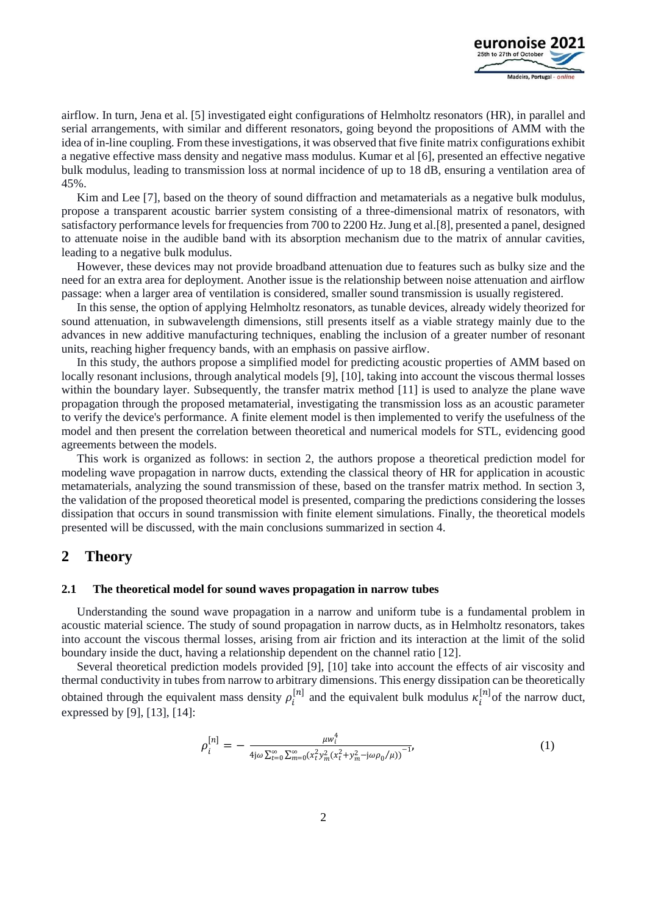

airflow. In turn, Jena et al. [5] investigated eight configurations of Helmholtz resonators (HR), in parallel and serial arrangements, with similar and different resonators, going beyond the propositions of AMM with the idea of in-line coupling. From these investigations, it was observed that five finite matrix configurations exhibit a negative effective mass density and negative mass modulus. Kumar et al [6], presented an effective negative bulk modulus, leading to transmission loss at normal incidence of up to 18 dB, ensuring a ventilation area of 45%.

Kim and Lee [7], based on the theory of sound diffraction and metamaterials as a negative bulk modulus, propose a transparent acoustic barrier system consisting of a three-dimensional matrix of resonators, with satisfactory performance levels for frequencies from 700 to 2200 Hz. Jung et al.[8], presented a panel, designed to attenuate noise in the audible band with its absorption mechanism due to the matrix of annular cavities, leading to a negative bulk modulus.

However, these devices may not provide broadband attenuation due to features such as bulky size and the need for an extra area for deployment. Another issue is the relationship between noise attenuation and airflow passage: when a larger area of ventilation is considered, smaller sound transmission is usually registered.

In this sense, the option of applying Helmholtz resonators, as tunable devices, already widely theorized for sound attenuation, in subwavelength dimensions, still presents itself as a viable strategy mainly due to the advances in new additive manufacturing techniques, enabling the inclusion of a greater number of resonant units, reaching higher frequency bands, with an emphasis on passive airflow.

In this study, the authors propose a simplified model for predicting acoustic properties of AMM based on locally resonant inclusions, through analytical models [9], [10], taking into account the viscous thermal losses within the boundary layer. Subsequently, the transfer matrix method [11] is used to analyze the plane wave propagation through the proposed metamaterial, investigating the transmission loss as an acoustic parameter to verify the device's performance. A finite element model is then implemented to verify the usefulness of the model and then present the correlation between theoretical and numerical models for STL, evidencing good agreements between the models.

This work is organized as follows: in section 2, the authors propose a theoretical prediction model for modeling wave propagation in narrow ducts, extending the classical theory of HR for application in acoustic metamaterials, analyzing the sound transmission of these, based on the transfer matrix method. In section 3, the validation of the proposed theoretical model is presented, comparing the predictions considering the losses dissipation that occurs in sound transmission with finite element simulations. Finally, the theoretical models presented will be discussed, with the main conclusions summarized in section 4.

### **2 Theory**

#### **2.1 The theoretical model for sound waves propagation in narrow tubes**

Understanding the sound wave propagation in a narrow and uniform tube is a fundamental problem in acoustic material science. The study of sound propagation in narrow ducts, as in Helmholtz resonators, takes into account the viscous thermal losses, arising from air friction and its interaction at the limit of the solid boundary inside the duct, having a relationship dependent on the channel ratio [12].

Several theoretical prediction models provided [9], [10] take into account the effects of air viscosity and thermal conductivity in tubes from narrow to arbitrary dimensions. This energy dissipation can be theoretically obtained through the equivalent mass density  $\rho_i^{[n]}$  and the equivalent bulk modulus  $\kappa_i^{[n]}$  of the narrow duct, expressed by [9], [13], [14]:

$$
\rho_i^{[n]} = -\frac{\mu w_i^4}{4j\omega \sum_{t=0}^{\infty} \sum_{m=0}^{\infty} (x_t^2 y_m^2 (x_t^2 + y_m^2 - j\omega \rho_0 / \mu))} (1)
$$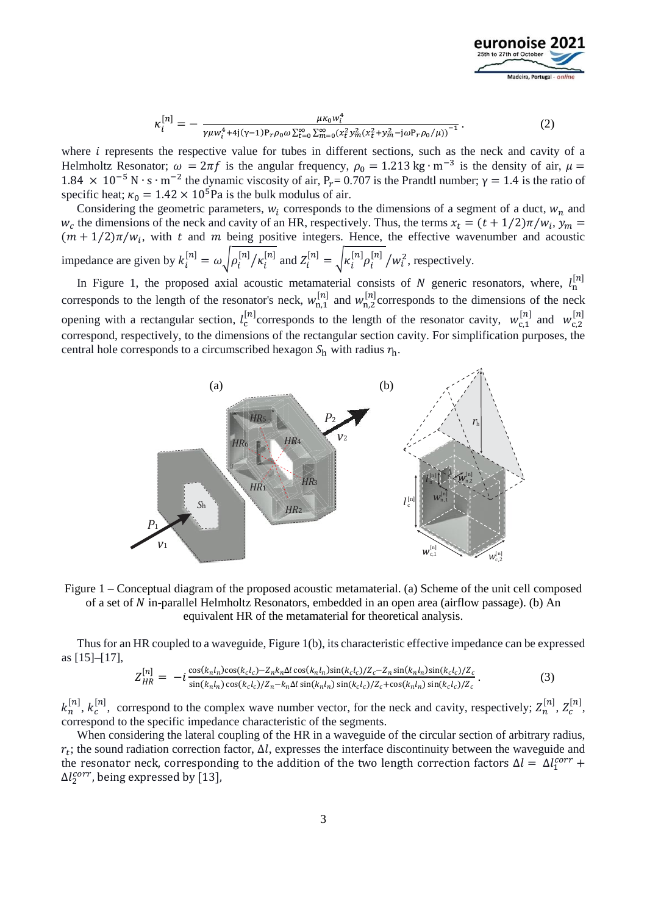

$$
\kappa_i^{[n]} = -\frac{\mu \kappa_0 w_i^4}{\gamma \mu w_i^4 + 4j(\gamma - 1) P_r \rho_0 \omega \sum_{t=0}^{\infty} \sum_{m=0}^{\infty} (x_t^2 y_m^2 (x_t^2 + y_m^2 - j \omega P_r \rho_0 / \mu))^{-1}}.
$$
\n(2)

where  $i$  represents the respective value for tubes in different sections, such as the neck and cavity of a Helmholtz Resonator;  $\omega = 2\pi f$  is the angular frequency,  $\rho_0 = 1.213 \text{ kg} \cdot \text{m}^{-3}$  is the density of air,  $\mu =$ 1.84 × 10<sup>-5</sup> N ⋅ s ⋅ m<sup>-2</sup> the dynamic viscosity of air, P<sub>r</sub>= 0.707 is the Prandtl number; γ = 1.4 is the ratio of specific heat;  $\kappa_0 = 1.42 \times 10^5$  Pa is the bulk modulus of air.

Considering the geometric parameters,  $w_i$  corresponds to the dimensions of a segment of a duct,  $w_n$  and  $w_c$  the dimensions of the neck and cavity of an HR, respectively. Thus, the terms  $x_t = (t + 1/2)\pi/w_i$ ,  $y_m =$  $(m + 1/2)\pi/w_i$ , with t and m being positive integers. Hence, the effective wavenumber and acoustic impedance are given by  $k_i^{[n]} = \omega \sqrt{\rho_i^{[n]}/\kappa_i^{[n]}}$  and  $Z_i^{[n]} = \sqrt{\kappa_i^{[n]}\rho_i^{[n]}/\kappa_i^{2}}$ , respectively.

In Figure 1, the proposed axial acoustic metamaterial consists of N generic resonators, where,  $l_n^{[n]}$ corresponds to the length of the resonator's neck,  $w_{n,1}^{[n]}$  and  $w_{n,2}^{[n]}$  corresponds to the dimensions of the neck opening with a rectangular section,  $l_c^{[n]}$  corresponds to the length of the resonator cavity,  $w_{c,1}^{[n]}$  and  $w_{c,2}^{[n]}$ correspond, respectively, to the dimensions of the rectangular section cavity. For simplification purposes, the central hole corresponds to a circumscribed hexagon  $S_h$  with radius  $r_h$ .



Figure 1 – Conceptual diagram of the proposed acoustic metamaterial. (a) Scheme of the unit cell composed of a set of in-parallel Helmholtz Resonators, embedded in an open area (airflow passage). (b) An equivalent HR of the metamaterial for theoretical analysis.

Thus for an HR coupled to a waveguide, Figure 1(b), its characteristic effective impedance can be expressed as [15]–[17],

$$
Z_{HR}^{[n]} = -i \frac{\cos(k_n l_n) \cos(k_c l_c) - Z_n k_n \Delta l \cos(k_n l_n) \sin(k_c l_c) / Z_c - Z_n \sin(k_n l_n) \sin(k_c l_c) / Z_c}{\sin(k_n l_n) \cos(k_c l_c) / Z_n - k_n \Delta l \sin(k_n l_n) \sin(k_c l_c) / Z_c + \cos(k_n l_n) \sin(k_c l_c) / Z_c}.
$$
 (3)

 $k_n^{[n]}$ ,  $k_c^{[n]}$ , correspond to the complex wave number vector, for the neck and cavity, respectively;  $Z_n^{[n]}$ ,  $Z_c^{[n]}$ , correspond to the specific impedance characteristic of the segments.

When considering the lateral coupling of the HR in a waveguide of the circular section of arbitrary radius,  $r_t$ ; the sound radiation correction factor,  $\Delta l$ , expresses the interface discontinuity between the waveguide and the resonator neck, corresponding to the addition of the two length correction factors  $\Delta l = \Delta l_1^{corr} +$  $\Delta l_2^{corr}$ , being expressed by [13],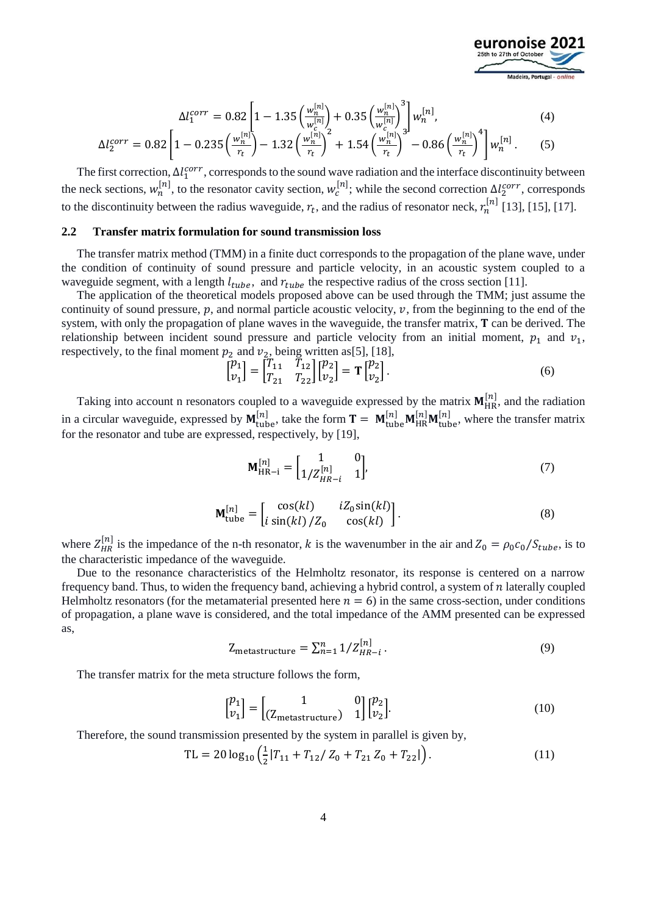

$$
\Delta l_1^{corr} = 0.82 \left[ 1 - 1.35 \left( \frac{w_n^{[n]}}{w_c^{[n]}} \right) + 0.35 \left( \frac{w_n^{[n]}}{w_c^{[n]}} \right)^3 \right] w_n^{[n]},\tag{4}
$$

$$
\Delta l_2^{corr} = 0.82 \left[ 1 - 0.235 \left( \frac{w_n^{[n]}}{r_t} \right) - 1.32 \left( \frac{w_n^{[n]}}{r_t} \right)^2 + 1.54 \left( \frac{w_n^{[n]}}{r_t} \right)^3 - 0.86 \left( \frac{w_n^{[n]}}{r_t} \right)^4 \right] w_n^{[n]}.
$$
 (5)

The first correction,  $\Delta l_1^{corr}$ , corresponds to the sound wave radiation and the interface discontinuity between the neck sections,  $w_n^{[n]}$ , to the resonator cavity section,  $w_c^{[n]}$ ; while the second correction  $\Delta l_2^{corr}$ , corresponds to the discontinuity between the radius waveguide,  $r_t$ , and the radius of resonator neck,  $r_n^{[n]}$  [13], [15], [17].

### **2.2 Transfer matrix formulation for sound transmission loss**

The transfer matrix method (TMM) in a finite duct corresponds to the propagation of the plane wave, under the condition of continuity of sound pressure and particle velocity, in an acoustic system coupled to a waveguide segment, with a length  $l_{tube}$ , and  $r_{tube}$  the respective radius of the cross section [11].

The application of the theoretical models proposed above can be used through the TMM; just assume the continuity of sound pressure,  $p$ , and normal particle acoustic velocity,  $v$ , from the beginning to the end of the system, with only the propagation of plane waves in the waveguide, the transfer matrix,  $\bf{T}$  can be derived. The relationship between incident sound pressure and particle velocity from an initial moment,  $p_1$  and  $v_1$ , respectively, to the final moment  $p_2$  and  $v_2$ , being written as[5], [18],

$$
\begin{bmatrix} p_1 \\ v_1 \end{bmatrix} = \begin{bmatrix} T_{11} & T_{12} \\ T_{21} & T_{22} \end{bmatrix} \begin{bmatrix} p_2 \\ v_2 \end{bmatrix} = \mathbf{T} \begin{bmatrix} p_2 \\ v_2 \end{bmatrix}.
$$
 (6)

Taking into account n resonators coupled to a waveguide expressed by the matrix  $M_{HR}^{[n]}$ , and the radiation in a circular waveguide, expressed by  $M_{\text{tube}}^{[n]}$ , take the form  $T = M_{\text{tube}}^{[n]} M_{\text{HR}}^{[n]} M_{\text{tube}}^{[n]}$ , where the transfer matrix for the resonator and tube are expressed, respectively, by [19],

$$
\mathbf{M}_{\text{HR}-i}^{[n]} = \begin{bmatrix} 1 & 0 \\ 1/Z_{HR-i}^{[n]} & 1 \end{bmatrix},\tag{7}
$$

$$
\mathbf{M}_{\text{tube}}^{[n]} = \begin{bmatrix} \cos(kl) & iZ_0 \sin(kl) \\ i \sin(kl) / Z_0 & \cos(kl) \end{bmatrix}.
$$
 (8)

where  $Z_{HR}^{[n]}$  is the impedance of the n-th resonator, k is the wavenumber in the air and  $Z_0 = \rho_0 c_0 / S_{tube}$ , is to the characteristic impedance of the waveguide.

Due to the resonance characteristics of the Helmholtz resonator, its response is centered on a narrow frequency band. Thus, to widen the frequency band, achieving a hybrid control, a system of  $n$  laterally coupled Helmholtz resonators (for the metamaterial presented here  $n = 6$ ) in the same cross-section, under conditions of propagation, a plane wave is considered, and the total impedance of the AMM presented can be expressed as,

$$
Z_{\text{metastructure}} = \sum_{n=1}^{n} 1/Z_{HR-i}^{[n]}.
$$
\n
$$
(9)
$$

The transfer matrix for the meta structure follows the form,

$$
\begin{bmatrix} p_1 \\ v_1 \end{bmatrix} = \begin{bmatrix} 1 & 0 \\ (Z_{\text{metastructure}}) & 1 \end{bmatrix} \begin{bmatrix} p_2 \\ v_2 \end{bmatrix}.
$$
 (10)

Therefore, the sound transmission presented by the system in parallel is given by,

$$
TL = 20 \log_{10} \left( \frac{1}{2} |T_{11} + T_{12} / Z_0 + T_{21} Z_0 + T_{22} | \right). \tag{11}
$$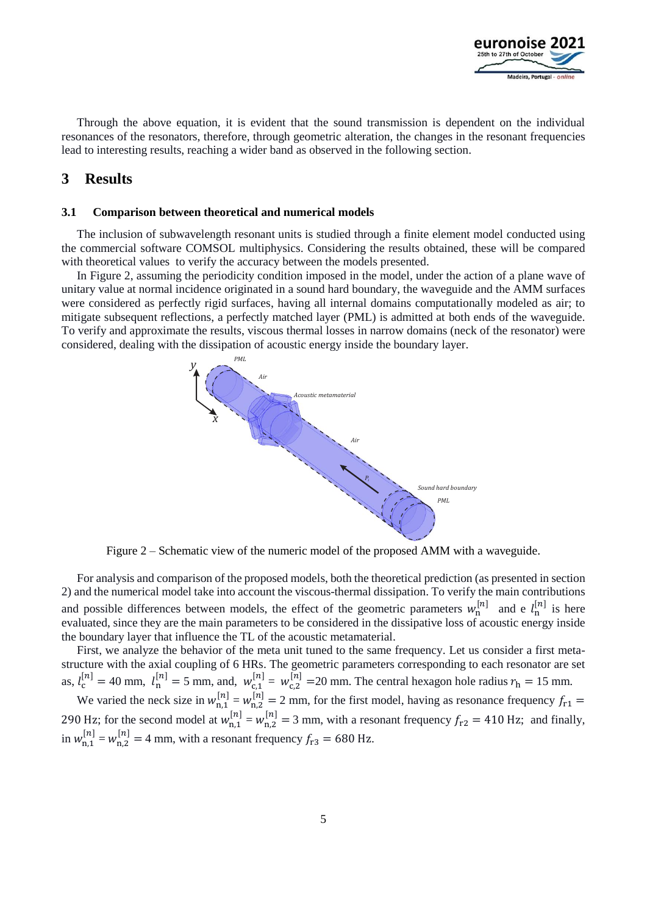

Through the above equation, it is evident that the sound transmission is dependent on the individual resonances of the resonators, therefore, through geometric alteration, the changes in the resonant frequencies lead to interesting results, reaching a wider band as observed in the following section.

## **3 Results**

#### **3.1 Comparison between theoretical and numerical models**

The inclusion of subwavelength resonant units is studied through a finite element model conducted using the commercial software COMSOL multiphysics. Considering the results obtained, these will be compared with theoretical values to verify the accuracy between the models presented.

In Figure 2, assuming the periodicity condition imposed in the model, under the action of a plane wave of unitary value at normal incidence originated in a sound hard boundary, the waveguide and the AMM surfaces were considered as perfectly rigid surfaces, having all internal domains computationally modeled as air; to mitigate subsequent reflections, a perfectly matched layer (PML) is admitted at both ends of the waveguide. To verify and approximate the results, viscous thermal losses in narrow domains (neck of the resonator) were considered, dealing with the dissipation of acoustic energy inside the boundary layer.



Figure 2 – Schematic view of the numeric model of the proposed AMM with a waveguide.

For analysis and comparison of the proposed models, both the theoretical prediction (as presented in section 2) and the numerical model take into account the viscous-thermal dissipation. To verify the main contributions and possible differences between models, the effect of the geometric parameters  $w_n^{[n]}$  and e  $l_n^{[n]}$  is here evaluated, since they are the main parameters to be considered in the dissipative loss of acoustic energy inside the boundary layer that influence the TL of the acoustic metamaterial.

First, we analyze the behavior of the meta unit tuned to the same frequency. Let us consider a first metastructure with the axial coupling of 6 HRs. The geometric parameters corresponding to each resonator are set as,  $l_c^{[n]} = 40$  mm,  $l_n^{[n]} = 5$  mm, and,  $w_{c,1}^{[n]} = w_{c,2}^{[n]} = 20$  mm. The central hexagon hole radius  $r_h = 15$  mm.

We varied the neck size in  $w_{n,1}^{[n]} = w_{n,2}^{[n]} = 2$  mm, for the first model, having as resonance frequency  $f_{r1} =$ 290 Hz; for the second model at  $w_{n,1}^{[n]} = w_{n,2}^{[n]} = 3$  mm, with a resonant frequency  $f_{r2} = 410$  Hz; and finally, in  $w_{n,1}^{[n]} = w_{n,2}^{[n]} = 4$  mm, with a resonant frequency  $f_{r3} = 680$  Hz.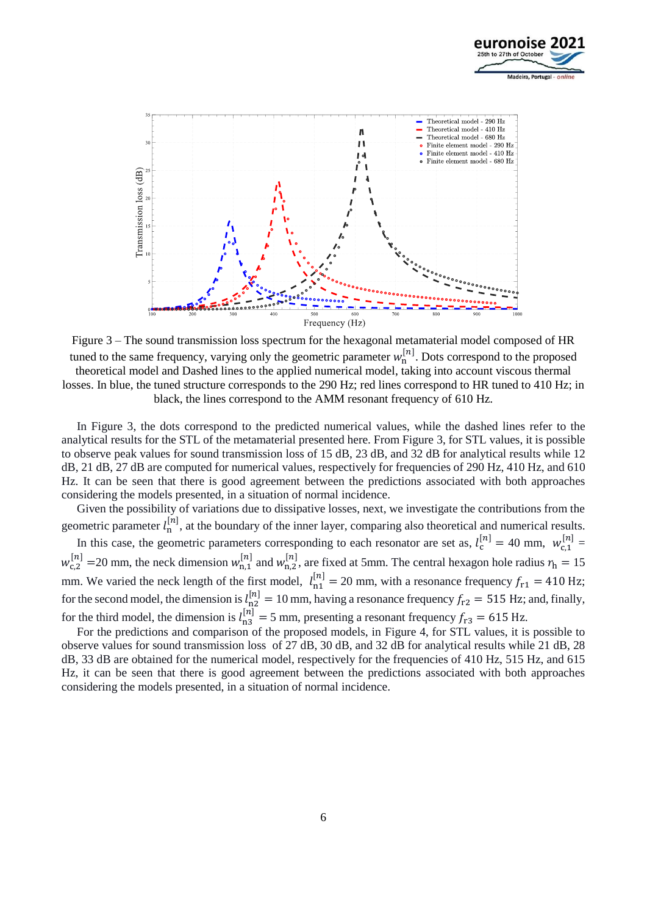



Figure 3 – The sound transmission loss spectrum for the hexagonal metamaterial model composed of HR tuned to the same frequency, varying only the geometric parameter  $w_n^{[n]}$ . Dots correspond to the proposed theoretical model and Dashed lines to the applied numerical model, taking into account viscous thermal losses. In blue, the tuned structure corresponds to the 290 Hz; red lines correspond to HR tuned to 410 Hz; in black, the lines correspond to the AMM resonant frequency of 610 Hz.

In Figure 3, the dots correspond to the predicted numerical values, while the dashed lines refer to the analytical results for the STL of the metamaterial presented here. From Figure 3, for STL values, it is possible to observe peak values for sound transmission loss of 15 dB, 23 dB, and 32 dB for analytical results while 12 dB, 21 dB, 27 dB are computed for numerical values, respectively for frequencies of 290 Hz, 410 Hz, and 610 Hz. It can be seen that there is good agreement between the predictions associated with both approaches considering the models presented, in a situation of normal incidence.

Given the possibility of variations due to dissipative losses, next, we investigate the contributions from the geometric parameter  $l_n^{[n]}$ , at the boundary of the inner layer, comparing also theoretical and numerical results.

In this case, the geometric parameters corresponding to each resonator are set as,  $l_c^{[n]} = 40$  mm,  $w_{c,1}^{[n]} =$  $w_{c,2}^{[n]}$  = 20 mm, the neck dimension  $w_{n,1}^{[n]}$  and  $w_{n,2}^{[n]}$ , are fixed at 5mm. The central hexagon hole radius  $r_h$  = 15 mm. We varied the neck length of the first model,  $l_{n1}^{[n]} = 20$  mm, with a resonance frequency  $f_{r1} = 410$  Hz; for the second model, the dimension is  $l_{n2}^{[n]} = 10$  mm, having a resonance frequency  $f_{r2} = 515$  Hz; and, finally, for the third model, the dimension is  $l_{\rm n3}^{[n]} = 5$  mm, presenting a resonant frequency  $f_{\rm r3} = 615$  Hz.

For the predictions and comparison of the proposed models, in Figure 4, for STL values, it is possible to observe values for sound transmission loss of 27 dB, 30 dB, and 32 dB for analytical results while 21 dB, 28 dB, 33 dB are obtained for the numerical model, respectively for the frequencies of 410 Hz, 515 Hz, and 615 Hz, it can be seen that there is good agreement between the predictions associated with both approaches considering the models presented, in a situation of normal incidence.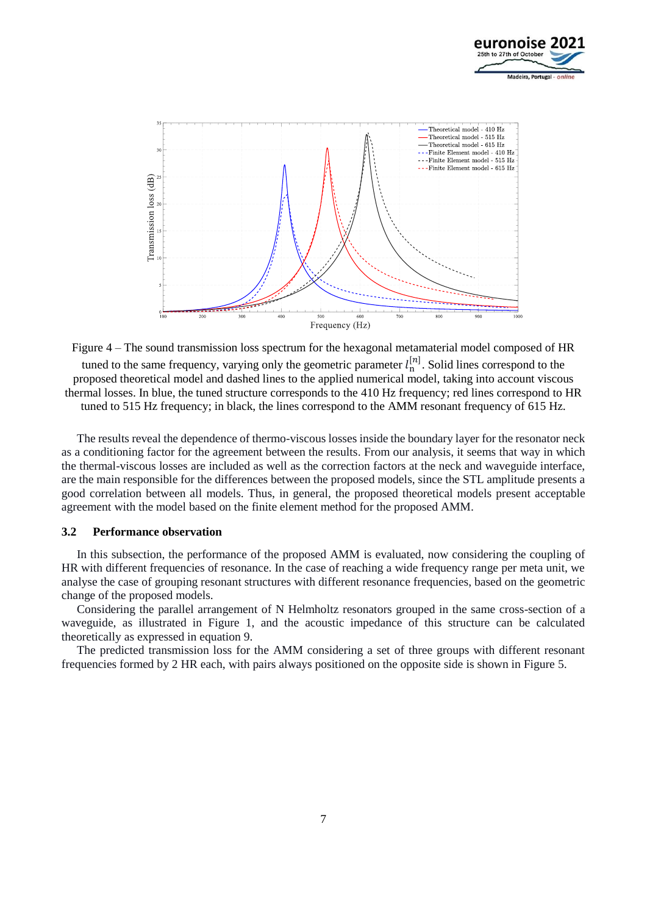



Figure 4 – The sound transmission loss spectrum for the hexagonal metamaterial model composed of HR tuned to the same frequency, varying only the geometric parameter  $l_n^{[n]}$ . Solid lines correspond to the proposed theoretical model and dashed lines to the applied numerical model, taking into account viscous thermal losses. In blue, the tuned structure corresponds to the 410 Hz frequency; red lines correspond to HR tuned to 515 Hz frequency; in black, the lines correspond to the AMM resonant frequency of 615 Hz.

The results reveal the dependence of thermo-viscous losses inside the boundary layer for the resonator neck as a conditioning factor for the agreement between the results. From our analysis, it seems that way in which the thermal-viscous losses are included as well as the correction factors at the neck and waveguide interface, are the main responsible for the differences between the proposed models, since the STL amplitude presents a good correlation between all models. Thus, in general, the proposed theoretical models present acceptable agreement with the model based on the finite element method for the proposed AMM.

### **3.2 Performance observation**

In this subsection, the performance of the proposed AMM is evaluated, now considering the coupling of HR with different frequencies of resonance. In the case of reaching a wide frequency range per meta unit, we analyse the case of grouping resonant structures with different resonance frequencies, based on the geometric change of the proposed models.

Considering the parallel arrangement of N Helmholtz resonators grouped in the same cross-section of a waveguide, as illustrated in Figure 1, and the acoustic impedance of this structure can be calculated theoretically as expressed in equation 9.

The predicted transmission loss for the AMM considering a set of three groups with different resonant frequencies formed by 2 HR each, with pairs always positioned on the opposite side is shown in Figure 5.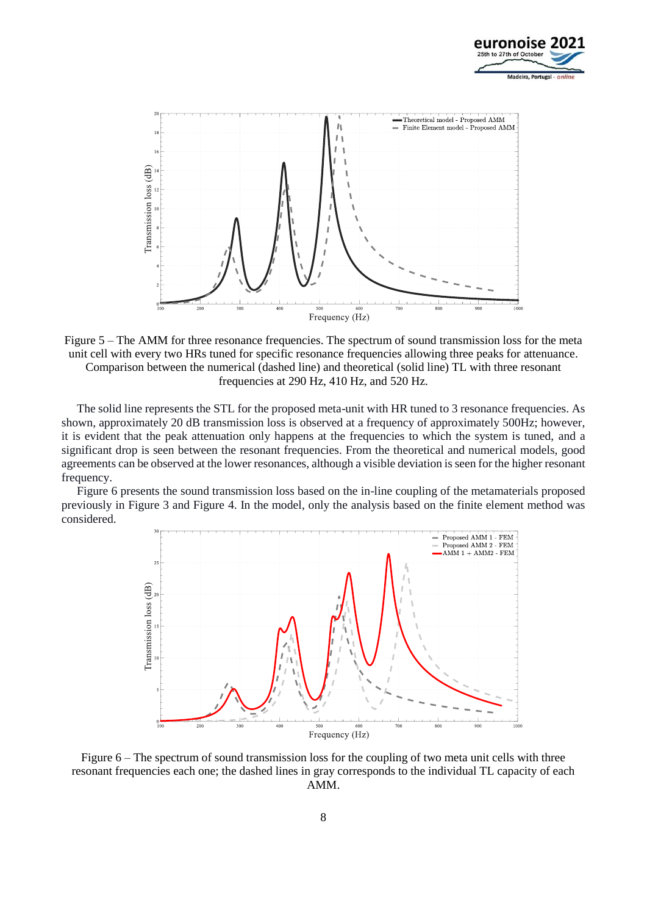



Figure 5 – The AMM for three resonance frequencies. The spectrum of sound transmission loss for the meta unit cell with every two HRs tuned for specific resonance frequencies allowing three peaks for attenuance. Comparison between the numerical (dashed line) and theoretical (solid line) TL with three resonant frequencies at 290 Hz, 410 Hz, and 520 Hz.

The solid line represents the STL for the proposed meta-unit with HR tuned to 3 resonance frequencies. As shown, approximately 20 dB transmission loss is observed at a frequency of approximately 500Hz; however, it is evident that the peak attenuation only happens at the frequencies to which the system is tuned, and a significant drop is seen between the resonant frequencies. From the theoretical and numerical models, good agreements can be observed at the lower resonances, although a visible deviation is seen for the higher resonant frequency.

Figure 6 presents the sound transmission loss based on the in-line coupling of the metamaterials proposed previously in Figure 3 and Figure 4. In the model, only the analysis based on the finite element method was considered.



Figure 6 – The spectrum of sound transmission loss for the coupling of two meta unit cells with three resonant frequencies each one; the dashed lines in gray corresponds to the individual TL capacity of each AMM.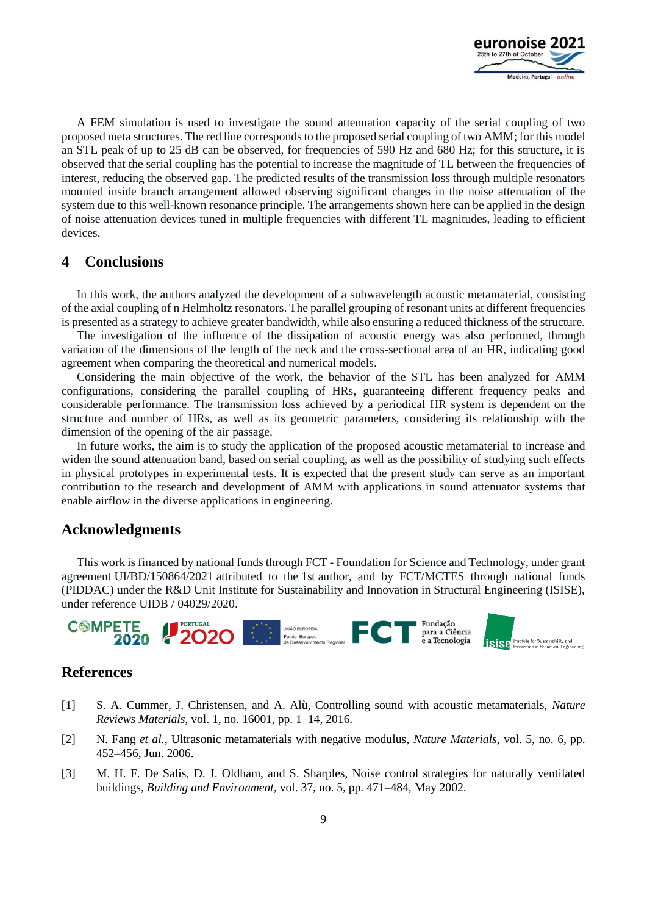

A FEM simulation is used to investigate the sound attenuation capacity of the serial coupling of two proposed meta structures. The red line corresponds to the proposed serial coupling of two AMM; for this model an STL peak of up to 25 dB can be observed, for frequencies of 590 Hz and 680 Hz; for this structure, it is observed that the serial coupling has the potential to increase the magnitude of TL between the frequencies of interest, reducing the observed gap. The predicted results of the transmission loss through multiple resonators mounted inside branch arrangement allowed observing significant changes in the noise attenuation of the system due to this well-known resonance principle. The arrangements shown here can be applied in the design of noise attenuation devices tuned in multiple frequencies with different TL magnitudes, leading to efficient devices.

### **4 Conclusions**

In this work, the authors analyzed the development of a subwavelength acoustic metamaterial, consisting of the axial coupling of n Helmholtz resonators. The parallel grouping of resonant units at different frequencies is presented as a strategy to achieve greater bandwidth, while also ensuring a reduced thickness of the structure.

The investigation of the influence of the dissipation of acoustic energy was also performed, through variation of the dimensions of the length of the neck and the cross-sectional area of an HR, indicating good agreement when comparing the theoretical and numerical models.

Considering the main objective of the work, the behavior of the STL has been analyzed for AMM configurations, considering the parallel coupling of HRs, guaranteeing different frequency peaks and considerable performance. The transmission loss achieved by a periodical HR system is dependent on the structure and number of HRs, as well as its geometric parameters, considering its relationship with the dimension of the opening of the air passage.

In future works, the aim is to study the application of the proposed acoustic metamaterial to increase and widen the sound attenuation band, based on serial coupling, as well as the possibility of studying such effects in physical prototypes in experimental tests. It is expected that the present study can serve as an important contribution to the research and development of AMM with applications in sound attenuator systems that enable airflow in the diverse applications in engineering.

# **Acknowledgments**

This work is financed by national funds through FCT - Foundation for Science and Technology, under grant agreement UI/BD/150864/2021 attributed to the 1st author, and by FCT/MCTES through national funds (PIDDAC) under the R&D Unit Institute for Sustainability and Innovation in Structural Engineering (ISISE), under reference UIDB / 04029/2020.



### **References**

- [1] S. A. Cummer, J. Christensen, and A. Alù, Controlling sound with acoustic metamaterials, *Nature Reviews Materials*, vol. 1, no. 16001, pp. 1–14, 2016.
- [2] N. Fang *et al.*, Ultrasonic metamaterials with negative modulus, *Nature Materials*, vol. 5, no. 6, pp. 452–456, Jun. 2006.
- [3] M. H. F. De Salis, D. J. Oldham, and S. Sharples, Noise control strategies for naturally ventilated buildings, *Building and Environment*, vol. 37, no. 5, pp. 471–484, May 2002.